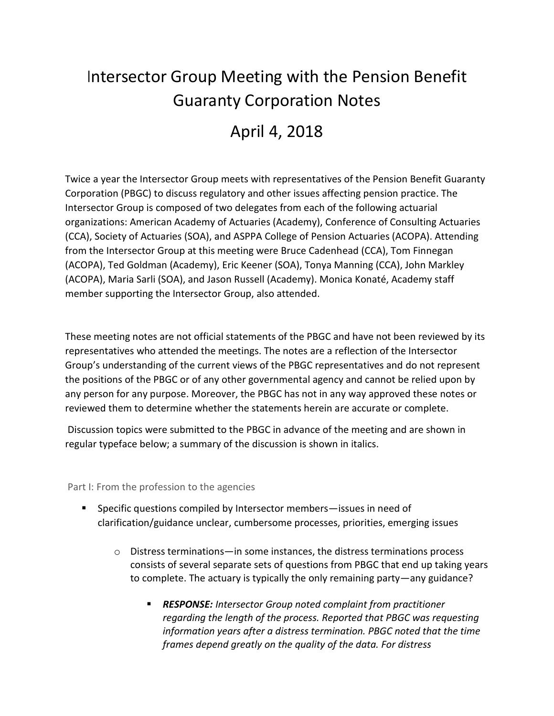## Intersector Group Meeting with the Pension Benefit Guaranty Corporation Notes

## April 4, 2018

Twice a year the Intersector Group meets with representatives of the Pension Benefit Guaranty Corporation (PBGC) to discuss regulatory and other issues affecting pension practice. The Intersector Group is composed of two delegates from each of the following actuarial organizations: American Academy of Actuaries (Academy), Conference of Consulting Actuaries (CCA), Society of Actuaries (SOA), and ASPPA College of Pension Actuaries (ACOPA). Attending from the Intersector Group at this meeting were Bruce Cadenhead (CCA), Tom Finnegan (ACOPA), Ted Goldman (Academy), Eric Keener (SOA), Tonya Manning (CCA), John Markley (ACOPA), Maria Sarli (SOA), and Jason Russell (Academy). Monica Konaté, Academy staff member supporting the Intersector Group, also attended.

These meeting notes are not official statements of the PBGC and have not been reviewed by its representatives who attended the meetings. The notes are a reflection of the Intersector Group's understanding of the current views of the PBGC representatives and do not represent the positions of the PBGC or of any other governmental agency and cannot be relied upon by any person for any purpose. Moreover, the PBGC has not in any way approved these notes or reviewed them to determine whether the statements herein are accurate or complete.

Discussion topics were submitted to the PBGC in advance of the meeting and are shown in regular typeface below; a summary of the discussion is shown in italics.

Part I: From the profession to the agencies

- Specific questions compiled by Intersector members—issues in need of clarification/guidance unclear, cumbersome processes, priorities, emerging issues
	- o Distress terminations—in some instances, the distress terminations process consists of several separate sets of questions from PBGC that end up taking years to complete. The actuary is typically the only remaining party—any guidance?
		- *RESPONSE: Intersector Group noted complaint from practitioner regarding the length of the process. Reported that PBGC was requesting information years after a distress termination. PBGC noted that the time frames depend greatly on the quality of the data. For distress*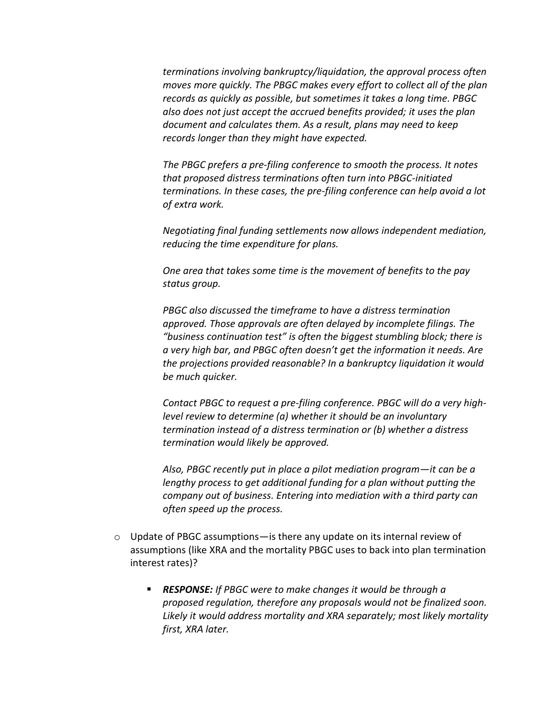*terminations involving bankruptcy/liquidation, the approval process often moves more quickly. The PBGC makes every effort to collect all of the plan records as quickly as possible, but sometimes it takes a long time. PBGC also does not just accept the accrued benefits provided; it uses the plan document and calculates them. As a result, plans may need to keep records longer than they might have expected.*

*The PBGC prefers a pre-filing conference to smooth the process. It notes that proposed distress terminations often turn into PBGC-initiated terminations. In these cases, the pre-filing conference can help avoid a lot of extra work.*

*Negotiating final funding settlements now allows independent mediation, reducing the time expenditure for plans.*

*One area that takes some time is the movement of benefits to the pay status group.*

*PBGC also discussed the timeframe to have a distress termination approved. Those approvals are often delayed by incomplete filings. The "business continuation test" is often the biggest stumbling block; there is a very high bar, and PBGC often doesn't get the information it needs. Are the projections provided reasonable? In a bankruptcy liquidation it would be much quicker.* 

*Contact PBGC to request a pre-filing conference. PBGC will do a very highlevel review to determine (a) whether it should be an involuntary termination instead of a distress termination or (b) whether a distress termination would likely be approved.*

*Also, PBGC recently put in place a pilot mediation program—it can be a lengthy process to get additional funding for a plan without putting the company out of business. Entering into mediation with a third party can often speed up the process.*

- $\circ$  Update of PBGC assumptions—is there any update on its internal review of assumptions (like XRA and the mortality PBGC uses to back into plan termination interest rates)?
	- *RESPONSE: If PBGC were to make changes it would be through a proposed regulation, therefore any proposals would not be finalized soon. Likely it would address mortality and XRA separately; most likely mortality first, XRA later.*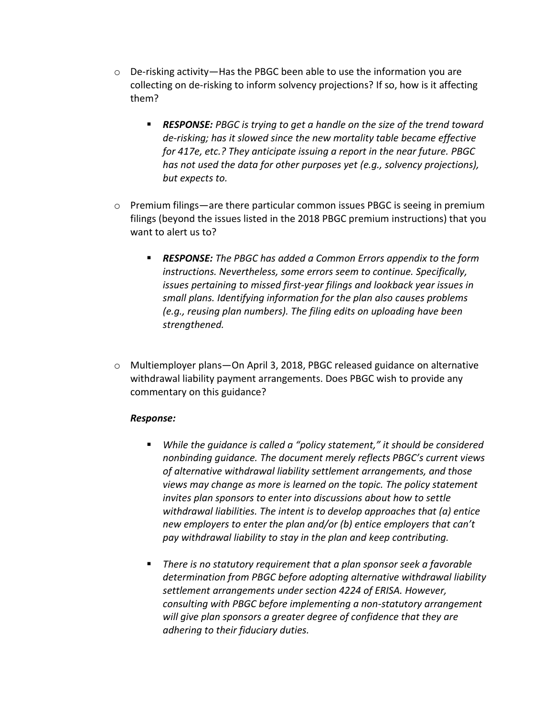- $\circ$  De-risking activity—Has the PBGC been able to use the information you are collecting on de-risking to inform solvency projections? If so, how is it affecting them?
	- *RESPONSE: PBGC is trying to get a handle on the size of the trend toward de-risking; has it slowed since the new mortality table became effective for 417e, etc.? They anticipate issuing a report in the near future. PBGC has not used the data for other purposes yet (e.g., solvency projections), but expects to.*
- $\circ$  Premium filings—are there particular common issues PBGC is seeing in premium filings (beyond the issues listed in the 2018 PBGC premium instructions) that you want to alert us to?
	- *RESPONSE: The PBGC has added a Common Errors appendix to the form instructions. Nevertheless, some errors seem to continue. Specifically, issues pertaining to missed first-year filings and lookback year issues in small plans. Identifying information for the plan also causes problems (e.g., reusing plan numbers). The filing edits on uploading have been strengthened.*
- o Multiemployer plans—On April 3, 2018, PBGC released guidance on alternative withdrawal liability payment arrangements. Does PBGC wish to provide any commentary on this guidance?

## *Response:*

- *While the guidance is called a "policy statement," it should be considered nonbinding guidance. The document merely reflects PBGC's current views of alternative withdrawal liability settlement arrangements, and those views may change as more is learned on the topic. The policy statement invites plan sponsors to enter into discussions about how to settle withdrawal liabilities. The intent is to develop approaches that (a) entice new employers to enter the plan and/or (b) entice employers that can't pay withdrawal liability to stay in the plan and keep contributing.*
- *There is no statutory requirement that a plan sponsor seek a favorable determination from PBGC before adopting alternative withdrawal liability settlement arrangements under section 4224 of ERISA. However, consulting with PBGC before implementing a non-statutory arrangement will give plan sponsors a greater degree of confidence that they are adhering to their fiduciary duties.*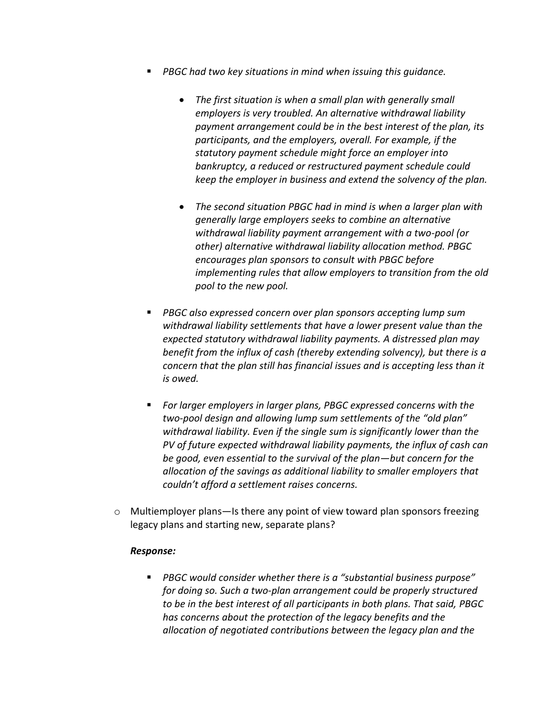- *PBGC had two key situations in mind when issuing this guidance.* 
	- *The first situation is when a small plan with generally small employers is very troubled. An alternative withdrawal liability payment arrangement could be in the best interest of the plan, its participants, and the employers, overall. For example, if the statutory payment schedule might force an employer into bankruptcy, a reduced or restructured payment schedule could keep the employer in business and extend the solvency of the plan.*
	- *The second situation PBGC had in mind is when a larger plan with generally large employers seeks to combine an alternative withdrawal liability payment arrangement with a two-pool (or other) alternative withdrawal liability allocation method. PBGC encourages plan sponsors to consult with PBGC before implementing rules that allow employers to transition from the old pool to the new pool.*
- *PBGC also expressed concern over plan sponsors accepting lump sum withdrawal liability settlements that have a lower present value than the expected statutory withdrawal liability payments. A distressed plan may benefit from the influx of cash (thereby extending solvency), but there is a concern that the plan still has financial issues and is accepting less than it is owed.*
- *For larger employers in larger plans, PBGC expressed concerns with the two-pool design and allowing lump sum settlements of the "old plan" withdrawal liability. Even if the single sum is significantly lower than the PV of future expected withdrawal liability payments, the influx of cash can be good, even essential to the survival of the plan—but concern for the allocation of the savings as additional liability to smaller employers that couldn't afford a settlement raises concerns.*
- $\circ$  Multiemployer plans—Is there any point of view toward plan sponsors freezing legacy plans and starting new, separate plans?

## *Response:*

 *PBGC would consider whether there is a "substantial business purpose" for doing so. Such a two-plan arrangement could be properly structured to be in the best interest of all participants in both plans. That said, PBGC has concerns about the protection of the legacy benefits and the allocation of negotiated contributions between the legacy plan and the*